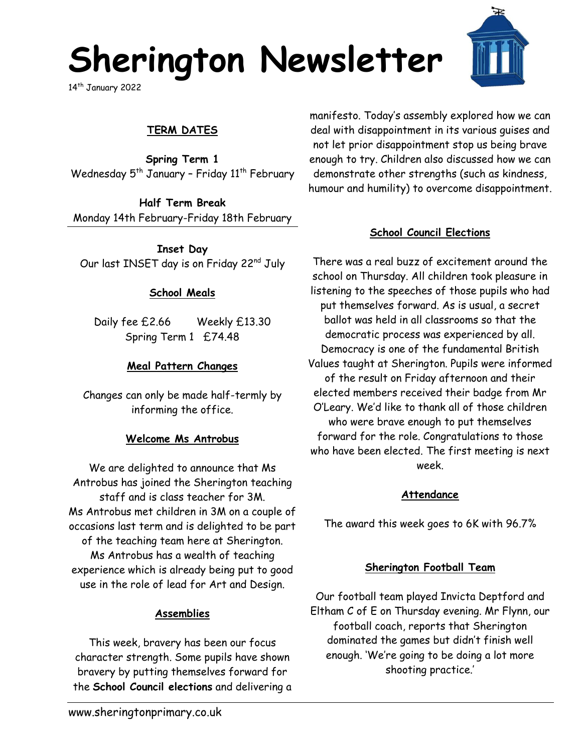## **Sherington Newsletter**

14<sup>th</sup> January 2022

## **TERM DATES**

**Spring Term 1** Wednesday  $5<sup>th</sup>$  January - Friday  $11<sup>th</sup>$  February

**Half Term Break** Monday 14th February-Friday 18th February

**Inset Day** Our last INSET day is on Friday 22nd July

### **School Meals**

Daily fee £2.66 Weekly £13.30 Spring Term 1 £74.48

### **Meal Pattern Changes**

Changes can only be made half-termly by informing the office.

### **Welcome Ms Antrobus**

We are delighted to announce that Ms Antrobus has joined the Sherington teaching staff and is class teacher for 3M. Ms Antrobus met children in 3M on a couple of occasions last term and is delighted to be part of the teaching team here at Sherington. Ms Antrobus has a wealth of teaching experience which is already being put to good use in the role of lead for Art and Design.

### **Assemblies**

This week, bravery has been our focus character strength. Some pupils have shown bravery by putting themselves forward for the **School Council elections** and delivering a

manifesto. Today's assembly explored how we can deal with disappointment in its various guises and not let prior disappointment stop us being brave enough to try. Children also discussed how we can demonstrate other strengths (such as kindness, humour and humility) to overcome disappointment.

### **School Council Elections**

There was a real buzz of excitement around the school on Thursday. All children took pleasure in listening to the speeches of those pupils who had put themselves forward. As is usual, a secret ballot was held in all classrooms so that the democratic process was experienced by all. Democracy is one of the fundamental British Values taught at Sherington. Pupils were informed of the result on Friday afternoon and their elected members received their badge from Mr O'Leary. We'd like to thank all of those children who were brave enough to put themselves forward for the role. Congratulations to those who have been elected. The first meeting is next week.

### **Attendance**

The award this week goes to 6K with 96.7%

## **Sherington Football Team**

Our football team played Invicta Deptford and Eltham C of E on Thursday evening. Mr Flynn, our football coach, reports that Sherington dominated the games but didn't finish well enough. 'We're going to be doing a lot more shooting practice.'

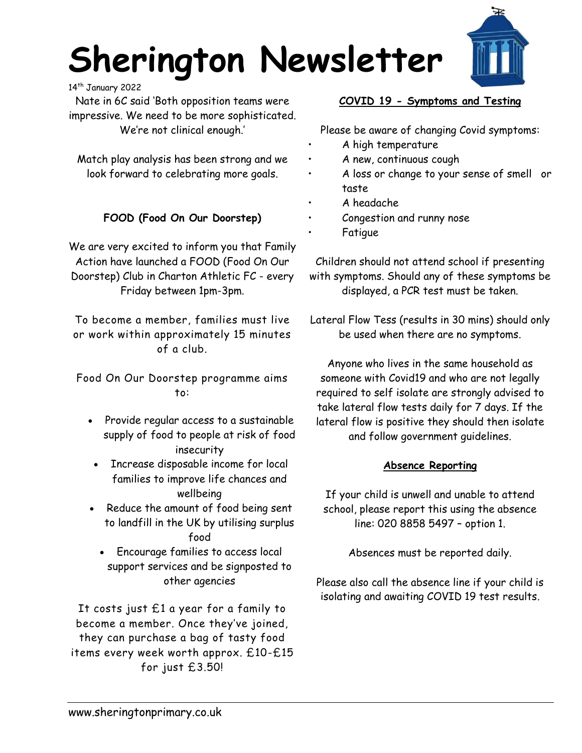# **Sherington Newsletter**



14<sup>th</sup> January 2022

Nate in 6C said 'Both opposition teams were impressive. We need to be more sophisticated. We're not clinical enough.'

Match play analysis has been strong and we look forward to celebrating more goals.

## **FOOD (Food On Our Doorstep)**

We are very excited to inform you that Family Action have launched a FOOD (Food On Our Doorstep) Club in Charton Athletic FC - every Friday between 1pm-3pm.

To become a member, families must live or work within approximately 15 minutes of a club.

Food On Our Doorstep programme aims to:

- Provide regular access to a sustainable supply of food to people at risk of food insecurity
- Increase disposable income for local families to improve life chances and wellbeing
- Reduce the amount of food being sent to landfill in the UK by utilising surplus food
	- Encourage families to access local support services and be signposted to other agencies

It costs just £1 a year for a family to become a member. Once they've joined, they can purchase a bag of tasty food items every week worth approx. £10-£15 for just £3.50!

## **COVID 19 - Symptoms and Testing**

Please be aware of changing Covid symptoms:

- A high temperature
- A new, continuous cough
- A loss or change to your sense of smell or taste
- A headache
- Congestion and runny nose
	- **Fatigue**

Children should not attend school if presenting with symptoms. Should any of these symptoms be displayed, a PCR test must be taken.

Lateral Flow Tess (results in 30 mins) should only be used when there are no symptoms.

Anyone who lives in the same household as someone with Covid19 and who are not legally required to self isolate are strongly advised to take lateral flow tests daily for 7 days. If the lateral flow is positive they should then isolate and follow government guidelines.

## **Absence Reporting**

If your child is unwell and unable to attend school, please report this using the absence line: 020 8858 5497 – option 1.

Absences must be reported daily.

Please also call the absence line if your child is isolating and awaiting COVID 19 test results.